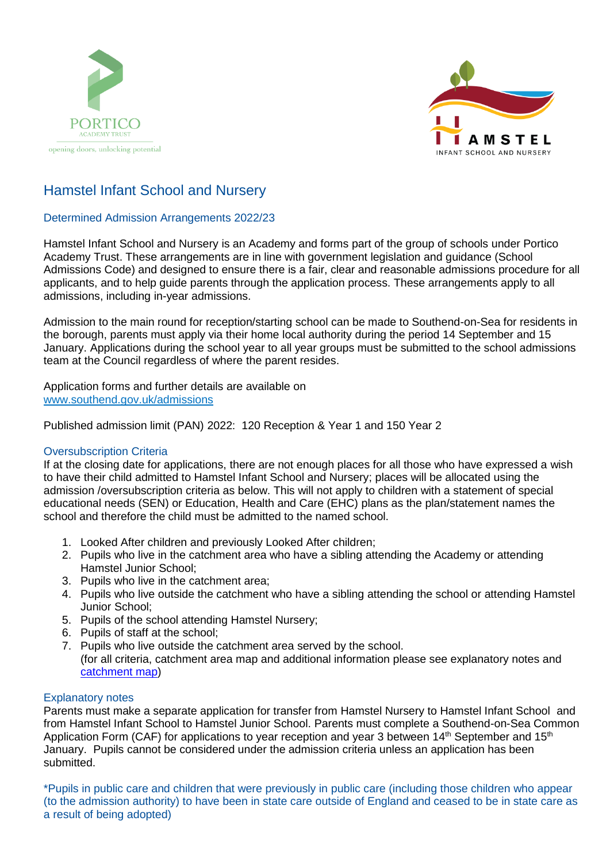



# Hamstel Infant School and Nursery

## Determined Admission Arrangements 2022/23

Hamstel Infant School and Nursery is an Academy and forms part of the group of schools under Portico Academy Trust. These arrangements are in line with government legislation and guidance (School Admissions Code) and designed to ensure there is a fair, clear and reasonable admissions procedure for all applicants, and to help guide parents through the application process. These arrangements apply to all admissions, including in-year admissions.

Admission to the main round for reception/starting school can be made to Southend-on-Sea for residents in the borough, parents must apply via their home local authority during the period 14 September and 15 January. Applications during the school year to all year groups must be submitted to the school admissions team at the Council regardless of where the parent resides.

Application forms and further details are available on [www.southend.gov.uk/admissions](http://www.southend.gov.uk/admissions)

Published admission limit (PAN) 2022: 120 Reception & Year 1 and 150 Year 2

### Oversubscription Criteria

If at the closing date for applications, there are not enough places for all those who have expressed a wish to have their child admitted to Hamstel Infant School and Nursery; places will be allocated using the admission /oversubscription criteria as below. This will not apply to children with a statement of special educational needs (SEN) or Education, Health and Care (EHC) plans as the plan/statement names the school and therefore the child must be admitted to the named school.

- 1. Looked After children and previously Looked After children;
- 2. Pupils who live in the catchment area who have a sibling attending the Academy or attending Hamstel Junior School;
- 3. Pupils who live in the catchment area;
- 4. Pupils who live outside the catchment who have a sibling attending the school or attending Hamstel Junior School;
- 5. Pupils of the school attending Hamstel Nursery;
- 6. Pupils of staff at the school;
- 7. Pupils who live outside the catchment area served by the school. (for all criteria, catchment area map and additional information please see explanatory notes and [catchment map\)](https://school-catchment-areas-southend.hub.arcgis.com/)

#### Explanatory notes

Parents must make a separate application for transfer from Hamstel Nursery to Hamstel Infant School and from Hamstel Infant School to Hamstel Junior School. Parents must complete a Southend-on-Sea Common Application Form (CAF) for applications to year reception and year 3 between 14<sup>th</sup> September and 15<sup>th</sup> January. Pupils cannot be considered under the admission criteria unless an application has been submitted.

\*Pupils in public care and children that were previously in public care (including those children who appear (to the admission authority) to have been in state care outside of England and ceased to be in state care as a result of being adopted)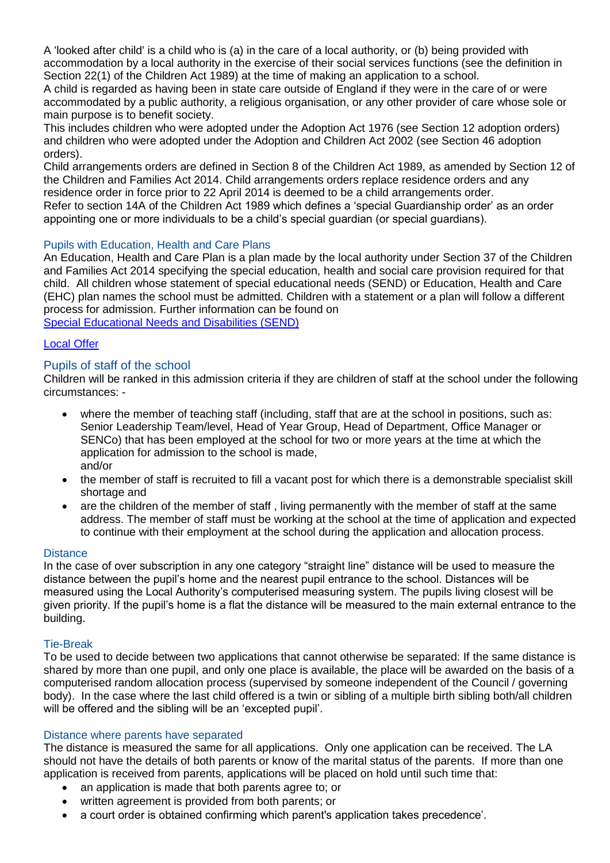A 'looked after child' is a child who is (a) in the care of a local authority, or (b) being provided with accommodation by a local authority in the exercise of their social services functions (see the definition in Section 22(1) of the Children Act 1989) at the time of making an application to a school.

A child is regarded as having been in state care outside of England if they were in the care of or were accommodated by a public authority, a religious organisation, or any other provider of care whose sole or main purpose is to benefit society.

This includes children who were adopted under the Adoption Act 1976 (see Section 12 adoption orders) and children who were adopted under the Adoption and Children Act 2002 (see Section 46 adoption orders).

Child arrangements orders are defined in Section 8 of the Children Act 1989, as amended by Section 12 of the Children and Families Act 2014. Child arrangements orders replace residence orders and any residence order in force prior to 22 April 2014 is deemed to be a child arrangements order.

Refer to section 14A of the Children Act 1989 which defines a 'special Guardianship order' as an order appointing one or more individuals to be a child's special guardian (or special guardians).

### Pupils with Education, Health and Care Plans

An Education, Health and Care Plan is a plan made by the local authority under Section 37 of the Children and Families Act 2014 specifying the special education, health and social care provision required for that child. All children whose statement of special educational needs (SEND) or Education, Health and Care (EHC) plan names the school must be admitted. Children with a statement or a plan will follow a different process for admission. Further information can be found on [Special Educational Needs and Disabilities \(SEND\)](https://www.southend.gov.uk/children-disabilities/special-educational-needs)

#### [Local Offer](https://livewellsouthend.com/kb5/southendonsea/directory/localoffer.page?localofferchannel=0)

### Pupils of staff of the school

Children will be ranked in this admission criteria if they are children of staff at the school under the following circumstances: -

- where the member of teaching staff (including, staff that are at the school in positions, such as: Senior Leadership Team/level, Head of Year Group, Head of Department, Office Manager or SENCo) that has been employed at the school for two or more years at the time at which the application for admission to the school is made, and/or
- the member of staff is recruited to fill a vacant post for which there is a demonstrable specialist skill shortage and
- are the children of the member of staff , living permanently with the member of staff at the same address. The member of staff must be working at the school at the time of application and expected to continue with their employment at the school during the application and allocation process.

#### **Distance**

In the case of over subscription in any one category "straight line" distance will be used to measure the distance between the pupil's home and the nearest pupil entrance to the school. Distances will be measured using the Local Authority's computerised measuring system. The pupils living closest will be given priority. If the pupil's home is a flat the distance will be measured to the main external entrance to the building.

#### Tie-Break

To be used to decide between two applications that cannot otherwise be separated: If the same distance is shared by more than one pupil, and only one place is available, the place will be awarded on the basis of a computerised random allocation process (supervised by someone independent of the Council / governing body). In the case where the last child offered is a twin or sibling of a multiple birth sibling both/all children will be offered and the sibling will be an 'excepted pupil'.

#### Distance where parents have separated

The distance is measured the same for all applications. Only one application can be received. The LA should not have the details of both parents or know of the marital status of the parents. If more than one application is received from parents, applications will be placed on hold until such time that:

- an application is made that both parents agree to; or
- written agreement is provided from both parents; or
- a court order is obtained confirming which parent's application takes precedence'.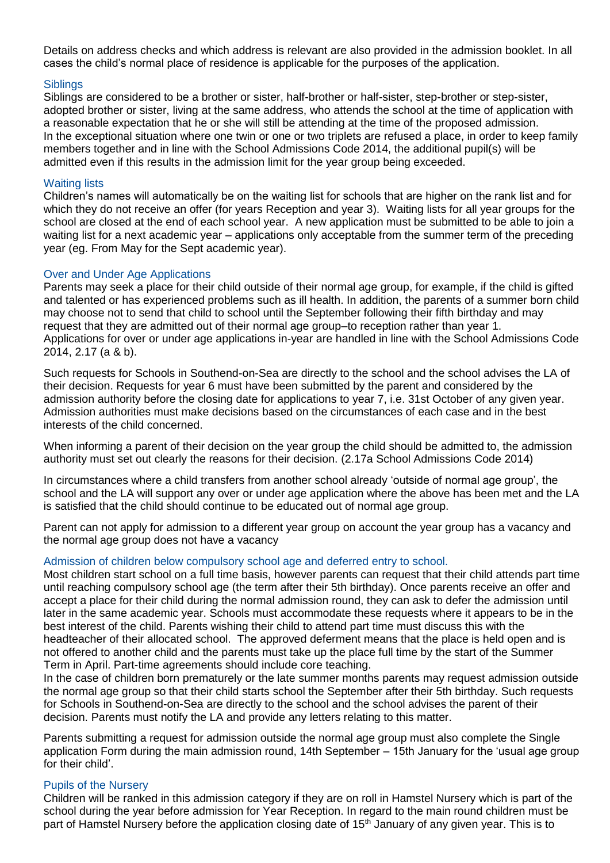Details on address checks and which address is relevant are also provided in the admission booklet. In all cases the child's normal place of residence is applicable for the purposes of the application.

#### **Siblings**

Siblings are considered to be a brother or sister, half-brother or half-sister, step-brother or step-sister, adopted brother or sister, living at the same address, who attends the school at the time of application with a reasonable expectation that he or she will still be attending at the time of the proposed admission. In the exceptional situation where one twin or one or two triplets are refused a place, in order to keep family members together and in line with the School Admissions Code 2014, the additional pupil(s) will be admitted even if this results in the admission limit for the year group being exceeded.

#### Waiting lists

Children's names will automatically be on the waiting list for schools that are higher on the rank list and for which they do not receive an offer (for years Reception and year 3). Waiting lists for all year groups for the school are closed at the end of each school year. A new application must be submitted to be able to join a waiting list for a next academic year – applications only acceptable from the summer term of the preceding year (eg. From May for the Sept academic year).

#### Over and Under Age Applications

Parents may seek a place for their child outside of their normal age group, for example, if the child is gifted and talented or has experienced problems such as ill health. In addition, the parents of a summer born child may choose not to send that child to school until the September following their fifth birthday and may request that they are admitted out of their normal age group–to reception rather than year 1. Applications for over or under age applications in-year are handled in line with the School Admissions Code 2014, 2.17 (a & b).

Such requests for Schools in Southend-on-Sea are directly to the school and the school advises the LA of their decision. Requests for year 6 must have been submitted by the parent and considered by the admission authority before the closing date for applications to year 7, i.e. 31st October of any given year. Admission authorities must make decisions based on the circumstances of each case and in the best interests of the child concerned.

When informing a parent of their decision on the year group the child should be admitted to, the admission authority must set out clearly the reasons for their decision. (2.17a School Admissions Code 2014)

In circumstances where a child transfers from another school already 'outside of normal age group', the school and the LA will support any over or under age application where the above has been met and the LA is satisfied that the child should continue to be educated out of normal age group.

Parent can not apply for admission to a different year group on account the year group has a vacancy and the normal age group does not have a vacancy

#### Admission of children below compulsory school age and deferred entry to school.

Most children start school on a full time basis, however parents can request that their child attends part time until reaching compulsory school age (the term after their 5th birthday). Once parents receive an offer and accept a place for their child during the normal admission round, they can ask to defer the admission until later in the same academic year. Schools must accommodate these requests where it appears to be in the best interest of the child. Parents wishing their child to attend part time must discuss this with the headteacher of their allocated school. The approved deferment means that the place is held open and is not offered to another child and the parents must take up the place full time by the start of the Summer Term in April. Part-time agreements should include core teaching.

In the case of children born prematurely or the late summer months parents may request admission outside the normal age group so that their child starts school the September after their 5th birthday. Such requests for Schools in Southend-on-Sea are directly to the school and the school advises the parent of their decision. Parents must notify the LA and provide any letters relating to this matter.

Parents submitting a request for admission outside the normal age group must also complete the Single application Form during the main admission round, 14th September – 15th January for the 'usual age group for their child'.

#### Pupils of the Nursery

Children will be ranked in this admission category if they are on roll in Hamstel Nursery which is part of the school during the year before admission for Year Reception. In regard to the main round children must be part of Hamstel Nursery before the application closing date of 15<sup>th</sup> January of any given year. This is to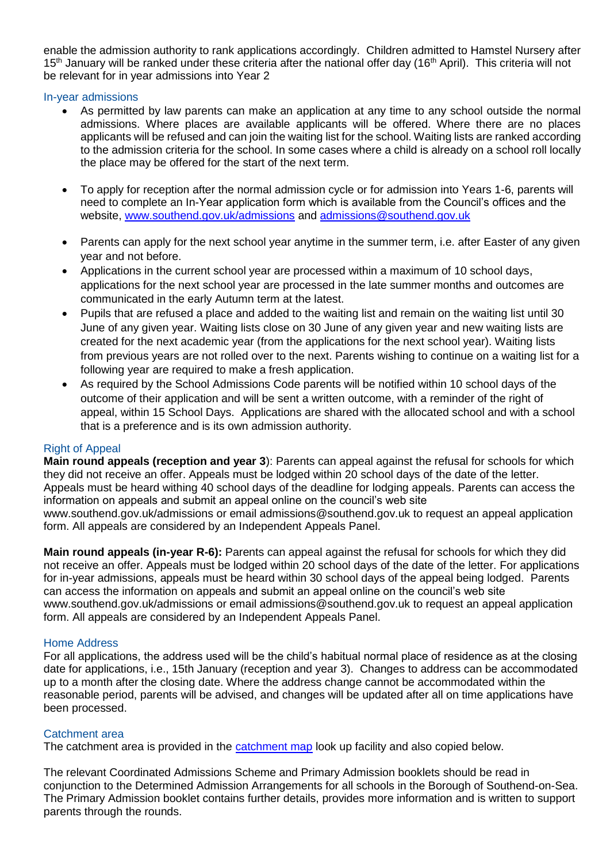enable the admission authority to rank applications accordingly. Children admitted to Hamstel Nursery after 15<sup>th</sup> January will be ranked under these criteria after the national offer day (16<sup>th</sup> April). This criteria will not be relevant for in year admissions into Year 2

#### In-year admissions

- As permitted by law parents can make an application at any time to any school outside the normal admissions. Where places are available applicants will be offered. Where there are no places applicants will be refused and can join the waiting list for the school. Waiting lists are ranked according to the admission criteria for the school. In some cases where a child is already on a school roll locally the place may be offered for the start of the next term.
- To apply for reception after the normal admission cycle or for admission into Years 1-6, parents will need to complete an In-Year application form which is available from the Council's offices and the website, [www.southend.gov.uk/admissions](http://www.southend.gov.uk/admissions) and [admissions@southend.gov.uk](mailto:admissions@southend.gov.uk)
- Parents can apply for the next school year anytime in the summer term, i.e. after Easter of any given year and not before.
- Applications in the current school year are processed within a maximum of 10 school days, applications for the next school year are processed in the late summer months and outcomes are communicated in the early Autumn term at the latest.
- Pupils that are refused a place and added to the waiting list and remain on the waiting list until 30 June of any given year. Waiting lists close on 30 June of any given year and new waiting lists are created for the next academic year (from the applications for the next school year). Waiting lists from previous years are not rolled over to the next. Parents wishing to continue on a waiting list for a following year are required to make a fresh application.
- As required by the School Admissions Code parents will be notified within 10 school days of the outcome of their application and will be sent a written outcome, with a reminder of the right of appeal, within 15 School Days. Applications are shared with the allocated school and with a school that is a preference and is its own admission authority.

#### Right of Appeal

**Main round appeals (reception and year 3**): Parents can appeal against the refusal for schools for which they did not receive an offer. Appeals must be lodged within 20 school days of the date of the letter. Appeals must be heard withing 40 school days of the deadline for lodging appeals. Parents can access the information on appeals and submit an appeal online on the council's web site

www.southend.gov.uk/admissions or email admissions@southend.gov.uk to request an appeal application form. All appeals are considered by an Independent Appeals Panel.

**Main round appeals (in-year R-6):** Parents can appeal against the refusal for schools for which they did not receive an offer. Appeals must be lodged within 20 school days of the date of the letter. For applications for in-year admissions, appeals must be heard within 30 school days of the appeal being lodged. Parents can access the information on appeals and submit an appeal online on the council's web site www.southend.gov.uk/admissions or email admissions@southend.gov.uk to request an appeal application form. All appeals are considered by an Independent Appeals Panel.

#### Home Address

For all applications, the address used will be the child's habitual normal place of residence as at the closing date for applications, i.e., 15th January (reception and year 3). Changes to address can be accommodated up to a month after the closing date. Where the address change cannot be accommodated within the reasonable period, parents will be advised, and changes will be updated after all on time applications have been processed.

#### Catchment area

The catchment area is provided in the [catchment map](https://school-catchment-areas-southend.hub.arcgis.com/) look up facility and also copied below.

The relevant Coordinated Admissions Scheme and Primary Admission booklets should be read in conjunction to the Determined Admission Arrangements for all schools in the Borough of Southend-on-Sea. The Primary Admission booklet contains further details, provides more information and is written to support parents through the rounds.